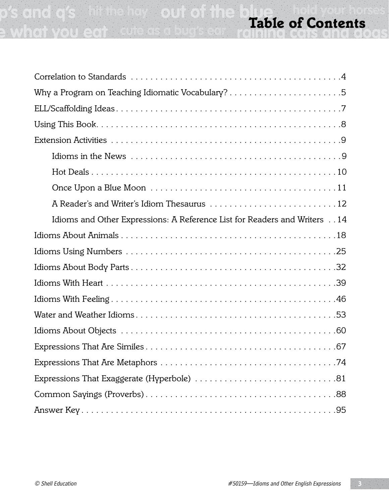# *Table of Contents*

O

| Why a Program on Teaching Idiomatic Vocabulary? $\dots\dots\dots\dots\dots\dots\dots\dots\dots$                |
|----------------------------------------------------------------------------------------------------------------|
|                                                                                                                |
|                                                                                                                |
|                                                                                                                |
|                                                                                                                |
|                                                                                                                |
| Once Upon a Blue Moon $\ldots \ldots \ldots \ldots \ldots \ldots \ldots \ldots \ldots \ldots \ldots \ldots 11$ |
|                                                                                                                |
| Idioms and Other Expressions: A Reference List for Readers and Writers 14                                      |
|                                                                                                                |
|                                                                                                                |
|                                                                                                                |
|                                                                                                                |
|                                                                                                                |
|                                                                                                                |
|                                                                                                                |
|                                                                                                                |
|                                                                                                                |
|                                                                                                                |
|                                                                                                                |
|                                                                                                                |

p's and q's hit the hay out of the

 $\sqrt{2}$  out the set of  $\frac{1}{2}$ 

Yoʻni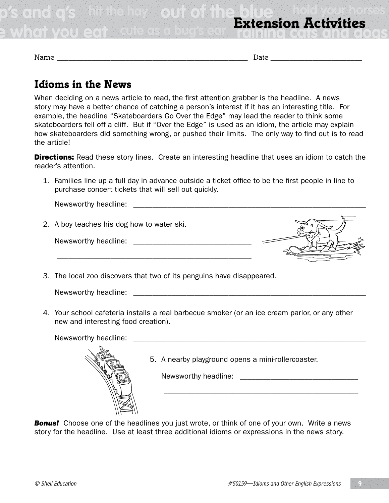### *Extension Activities*

*Name \_\_\_\_\_\_\_\_\_\_\_\_\_\_\_\_\_\_\_\_\_\_\_\_\_\_\_\_\_\_\_\_\_\_\_\_\_\_\_\_\_\_\_\_\_\_\_\_\_\_ Date \_\_\_\_\_\_\_\_\_\_\_\_\_\_\_\_\_\_\_\_\_\_\_\_*

#### *Idioms in the News*

elo na Alcun

When deciding on a news article to read, the first attention grabber is the headline. A news story may have a better chance of catching a person's interest if it has an interesting title. For example, the headline "Skateboarders Go Over the Edge" may lead the reader to think some skateboarders fell off a cliff. But if "Over the Edge" is used as an idiom, the article may explain how skateboarders did something wrong, or pushed their limits. The only way to find out is to read the article!

**Directions:** Read these story lines. Create an interesting headline that uses an idiom to catch the reader's attention.

1. Families line up a full day in advance outside a ticket office to be the first people in line to purchase concert tickets that will sell out quickly.

Newsworthy headline:  $\blacksquare$ 

2. A boy teaches his dog how to water ski.

Newsworthy headline: \_\_\_\_\_\_\_\_\_\_\_\_\_\_\_\_\_\_\_\_\_\_\_\_\_\_\_\_\_\_\_



3. The local zoo discovers that two of its penguins have disappeared.

\_\_\_\_\_\_\_\_\_\_\_\_\_\_\_\_\_\_\_\_\_\_\_\_\_\_\_\_\_\_\_\_\_\_\_\_\_\_\_\_\_\_\_\_\_\_\_\_\_\_\_

Newsworthy headline: \_

4. Your school cafeteria installs a real barbecue smoker (or an ice cream parlor, or any other new and interesting food creation).

Newsworthy headline:  $\blacksquare$ 



5. A nearby playground opens a mini-rollercoaster.

\_\_\_\_\_\_\_\_\_\_\_\_\_\_\_\_\_\_\_\_\_\_\_\_\_\_\_\_\_\_\_\_\_\_\_\_\_\_\_\_\_\_\_\_\_\_\_\_\_\_\_

Newsworthy headline: \_\_\_\_\_\_\_\_\_\_\_\_\_\_\_\_\_\_\_\_\_\_\_\_\_\_\_\_\_\_\_

**Bonus!** Choose one of the headlines you just wrote, or think of one of your own. Write a news story for the headline. Use at least three additional idioms or expressions in the news story.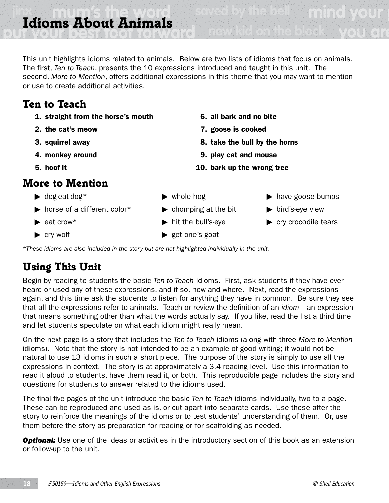This unit highlights idioms related to animals. Below are two lists of idioms that focus on animals. The first, *Ten to Teach*, presents the 10 expressions introduced and taught in this unit. The second, *More to Mention*, offers additional expressions in this theme that you may want to mention or use to create additional activities.

#### *Ten to Teach*

1. straight from the horse's mouth 2. the cat's meow 3. squirrel away 4. monkey around 5. hoof it 6. all bark and no bite 7. goose is cooked 8. take the bull by the horns 9. play cat and mouse 10. bark up the wrong tree *More to Mention*  $\blacktriangleright$  dog-eat-dog\* ▶ horse of a different color\*  $\blacktriangleright$  eat crow\*  $\blacktriangleright$  cry wolf  $\blacktriangleright$  whole hog  $\blacktriangleright$  chomping at the bit ▶ hit the bull's-eye ▶ get one's goat ▶ have goose bumps  $\blacktriangleright$  bird's-eye view ▶ cry crocodile tears

*\*These idioms are also included in the story but are not highlighted individually in the unit.* 

### *Using This Unit*

Begin by reading to students the basic *Ten to Teach* idioms. First, ask students if they have ever heard or used any of these expressions, and if so, how and where. Next, read the expressions again, and this time ask the students to listen for anything they have in common. Be sure they see that all the expressions refer to animals. Teach or review the definition of an *idiom*—an expression that means something other than what the words actually say. If you like, read the list a third time and let students speculate on what each idiom might really mean.

On the next page is a story that includes the *Ten to Teach* idioms (along with three *More to Mention*  idioms). Note that the story is not intended to be an example of good writing; it would not be natural to use 13 idioms in such a short piece. The purpose of the story is simply to use all the expressions in context. The story is at approximately a 3.4 reading level. Use this information to read it aloud to students, have them read it, or both. This reproducible page includes the story and questions for students to answer related to the idioms used.

The final five pages of the unit introduce the basic *Ten to Teach* idioms individually, two to a page. These can be reproduced and used as is, or cut apart into separate cards. Use these after the story to reinforce the meanings of the idioms or to test students' understanding of them. Or, use them before the story as preparation for reading or for scaffolding as needed.

**Optional:** Use one of the ideas or activities in the introductory section of this book as an extension or follow-up to the unit.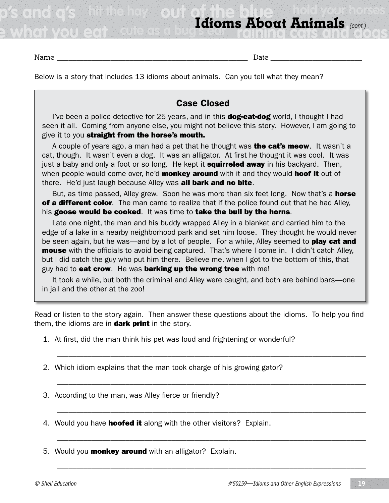*Name \_\_\_\_\_\_\_\_\_\_\_\_\_\_\_\_\_\_\_\_\_\_\_\_\_\_\_\_\_\_\_\_\_\_\_\_\_\_\_\_\_\_\_\_\_\_\_\_\_\_ Date \_\_\_\_\_\_\_\_\_\_\_\_\_\_\_\_\_\_\_\_\_\_\_\_*

[J] I (스) ol p

Below is a story that includes 13 idioms about animals. Can you tell what they mean?

#### Case Closed

I've been a police detective for 25 years, and in this **dog-eat-dog** world, I thought I had seen it all. Coming from anyone else, you might not believe this story. However, I am going to give it to you straight from the horse's mouth.

A couple of years ago, a man had a pet that he thought was **the cat's meow**. It wasn't a cat, though. It wasn't even a dog. It was an alligator. At first he thought it was cool. It was just a baby and only a foot or so long. He kept it **squirreled away** in his backyard. Then, when people would come over, he'd **monkey around** with it and they would **hoof it** out of there. He'd just laugh because Alley was **all bark and no bite**.

But, as time passed, Alley grew. Soon he was more than six feet long. Now that's a **horse** of a different color. The man came to realize that if the police found out that he had Alley, his goose would be cooked. It was time to take the bull by the horns.

Late one night, the man and his buddy wrapped Alley in a blanket and carried him to the edge of a lake in a nearby neighborhood park and set him loose. They thought he would never be seen again, but he was—and by a lot of people. For a while, Alley seemed to **play cat and mouse** with the officials to avoid being captured. That's where I come in. I didn't catch Alley, but I did catch the guy who put him there. Believe me, when I got to the bottom of this, that guy had to **eat crow**. He was **barking up the wrong tree** with me!

It took a while, but both the criminal and Alley were caught, and both are behind bars—one in jail and the other at the zoo!

Read or listen to the story again. Then answer these questions about the idioms. To help you find them, the idioms are in **dark print** in the story.

\_\_\_\_\_\_\_\_\_\_\_\_\_\_\_\_\_\_\_\_\_\_\_\_\_\_\_\_\_\_\_\_\_\_\_\_\_\_\_\_\_\_\_\_\_\_\_\_\_\_\_\_\_\_\_\_\_\_\_\_\_\_\_\_\_\_\_\_\_\_\_\_\_\_\_\_\_\_\_\_\_

\_\_\_\_\_\_\_\_\_\_\_\_\_\_\_\_\_\_\_\_\_\_\_\_\_\_\_\_\_\_\_\_\_\_\_\_\_\_\_\_\_\_\_\_\_\_\_\_\_\_\_\_\_\_\_\_\_\_\_\_\_\_\_\_\_\_\_\_\_\_\_\_\_\_\_\_\_\_\_\_\_

\_\_\_\_\_\_\_\_\_\_\_\_\_\_\_\_\_\_\_\_\_\_\_\_\_\_\_\_\_\_\_\_\_\_\_\_\_\_\_\_\_\_\_\_\_\_\_\_\_\_\_\_\_\_\_\_\_\_\_\_\_\_\_\_\_\_\_\_\_\_\_\_\_\_\_\_\_\_\_\_\_

\_\_\_\_\_\_\_\_\_\_\_\_\_\_\_\_\_\_\_\_\_\_\_\_\_\_\_\_\_\_\_\_\_\_\_\_\_\_\_\_\_\_\_\_\_\_\_\_\_\_\_\_\_\_\_\_\_\_\_\_\_\_\_\_\_\_\_\_\_\_\_\_\_\_\_\_\_\_\_\_\_

\_\_\_\_\_\_\_\_\_\_\_\_\_\_\_\_\_\_\_\_\_\_\_\_\_\_\_\_\_\_\_\_\_\_\_\_\_\_\_\_\_\_\_\_\_\_\_\_\_\_\_\_\_\_\_\_\_\_\_\_\_\_\_\_\_\_\_\_\_\_\_\_\_\_\_\_\_\_\_\_\_

- 1. At first, did the man think his pet was loud and frightening or wonderful?
- 2. Which idiom explains that the man took charge of his growing gator?

3. According to the man, was Alley fierce or friendly?

4. Would you have **hoofed it** along with the other visitors? Explain.

5. Would you **monkey around** with an alligator? Explain.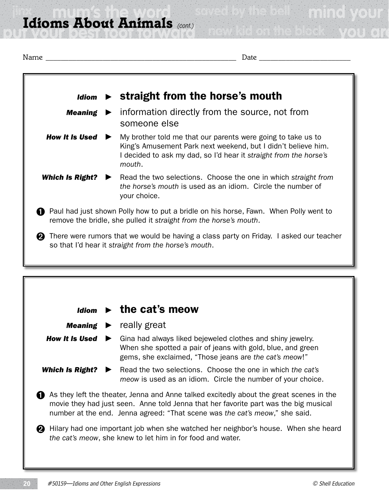## *Idioms About Animals (cont.)*